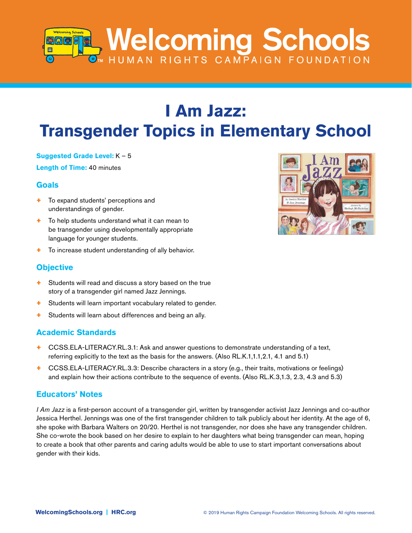# **Melcoming Schools**

# **I Am Jazz: Transgender Topics in Elementary School**

#### **Suggested Grade Level:** K – 5

**Length of Time:** 40 minutes

# **Goals**

- + To expand students' perceptions and understandings of gender.
- + To help students understand what it can mean to be transgender using developmentally appropriate language for younger students.
- + To increase student understanding of ally behavior.

# **Objective**

- + Students will read and discuss a story based on the true story of a transgender girl named Jazz Jennings.
- + Students will learn important vocabulary related to gender.
- + Students will learn about differences and being an ally.

# **Academic Standards**

- + CCSS.ELA-LITERACY.RL.3.1: Ask and answer questions to demonstrate understanding of a text, referring explicitly to the text as the basis for the answers. (Also RL.K.1,1.1,2.1, 4.1 and 5.1)
- + CCSS.ELA-LITERACY.RL.3.3: Describe characters in a story (e.g., their traits, motivations or feelings) and explain how their actions contribute to the sequence of events. (Also RL.K.3,1.3, 2.3, 4.3 and 5.3)

# **Educators' Notes**

*I Am Jazz* is a first-person account of a transgender girl, written by transgender activist Jazz Jennings and co-author Jessica Herthel. Jennings was one of the first transgender children to talk publicly about her identity. At the age of 6, she spoke with Barbara Walters on 20/20. Herthel is not transgender, nor does she have any transgender children. She co-wrote the book based on her desire to explain to her daughters what being transgender can mean, hoping to create a book that other parents and caring adults would be able to use to start important conversations about gender with their kids.

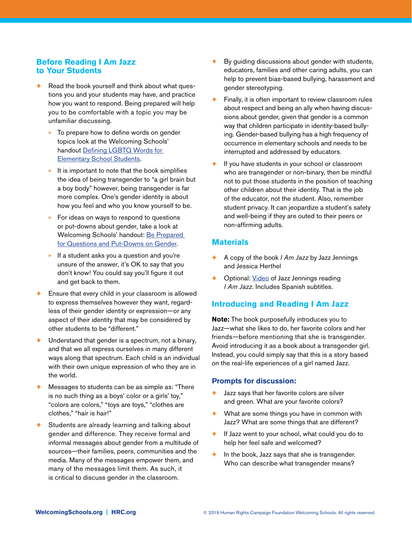#### **Before Reading I Am Jazz to Your Students**

- Read the book yourself and think about what questions you and your students may have, and practice how you want to respond. Being prepared will help you to be comfortable with a topic you may be unfamiliar discussing.
	- **»** To prepare how to define words on gender topics look at the Welcoming Schools' handout [Defining LGBTQ Words for](http://www.welcomingschools.org/resources/definitions/youth-definitions/)  [Elementary School Students](http://www.welcomingschools.org/resources/definitions/youth-definitions/).
	- **»** It is important to note that the book simplifies the idea of being transgender to "a girl brain but a boy body" however, being transgender is far more complex. One's gender identity is about how you feel and who you know yourself to be.
	- **»** For ideas on ways to respond to questions or put-downs about gender, take a look at Welcoming Schools' handout: [Be Prepared](http://www.welcomingschools.org/pages/be-prepared-for-questions-and-put-downs-about-gender/)  [for Questions and Put-Downs on Gender.](http://www.welcomingschools.org/pages/be-prepared-for-questions-and-put-downs-about-gender/)
	- **»** If a student asks you a question and you're unsure of the answer, it's OK to say that you don't know! You could say you'll figure it out and get back to them.
- Ensure that every child in your classroom is allowed to express themselves however they want, regardless of their gender identity or expression—or any aspect of their identity that may be considered by other students to be "different."
- + Understand that gender is a spectrum, not a binary, and that we all express ourselves in many different ways along that spectrum. Each child is an individual with their own unique expression of who they are in the world.
- Messages to students can be as simple as: "There" is no such thing as a boys' color or a girls' toy," "colors are colors," "toys are toys," "clothes are clothes," "hair is hair!"
- Students are already learning and talking about gender and difference. They receive formal and informal messages about gender from a multitude of sources—their families, peers, communities and the media. Many of the messages empower them, and many of the messages limit them. As such, it is critical to discuss gender in the classroom.
- + By guiding discussions about gender with students, educators, families and other caring adults, you can help to prevent bias-based bullying, harassment and gender stereotyping.
- Finally, it is often important to review classroom rules about respect and being an ally when having discussions about gender, given that gender is a common way that children participate in identity-based bullying. Gender-based bullying has a high frequency of occurrence in elementary schools and needs to be interrupted and addressed by educators.
- If you have students in your school or classroom who are transgender or non-binary, then be mindful not to put those students in the position of teaching other children about their identity. That is the job of the educator, not the student. Also, remember student privacy. It can jeopardize a student's safety and well-being if they are outed to their peers or non-affirming adults.

#### **Materials**

- + A copy of the book *I Am Jazz* by Jazz Jennings and Jessica Herthel
- Optional: [Video](https://www.youtube.com/watch?v=h1pw77FyTvQ&feature=youtu.be) of Jazz Jennings reading *I Am Jazz*. Includes Spanish subtitles.

#### **Introducing and Reading I Am Jazz**

**Note:** The book purposefully introduces you to Jazz—what she likes to do, her favorite colors and her friends—before mentioning that she is transgender. Avoid introducing it as a book about a transgender girl. Instead, you could simply say that this is a story based on the real-life experiences of a girl named Jazz.

#### **Prompts for discussion:**

- Jazz says that her favorite colors are silver and green. What are your favorite colors?
- $+$  What are some things you have in common with Jazz? What are some things that are different?
- + If Jazz went to your school, what could you do to help her feel safe and welcomed?
- $+$  In the book, Jazz says that she is transgender. Who can describe what transgender means?